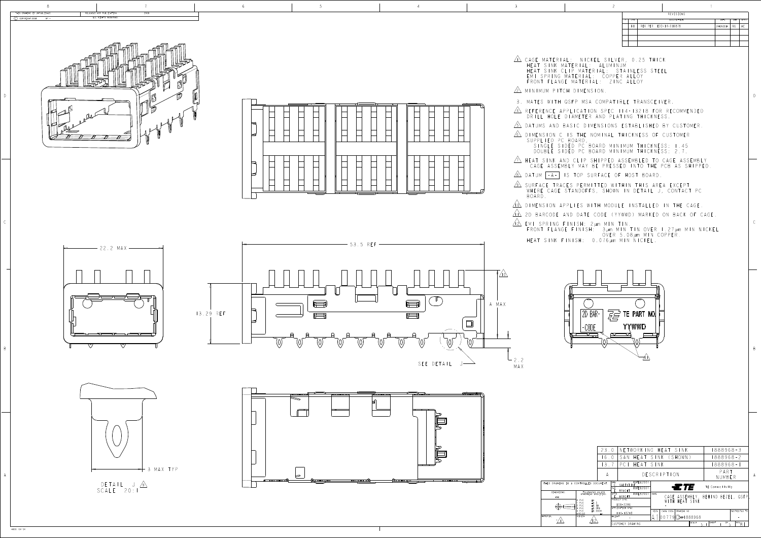

D

B

<u>6 DIMENSION CISTHE NOMINAL IHICKNESS OF</u>

<u>IN</u> HEAT SINK AND CLIP SHIPPED ASSEMBLED TO CAGE SINGLE SIDED PC BOARD MINIMUM IHICKN DOUBLE SIDED PC BOARD MINIMUM IHICKN CAGE ASSEMBLY MAY BE PRESSED INTO THE PCB A



B

D

 $\bigcup$  COPYRIGHT 2008 BY

THIS DRAWING IS UNPUBLISHED.

4805 (3/13)

| RELEASED FOR PUBLICATION<br>2008<br>ALL RIGHTS RESERVED |  |  |                                                                                                                                                                                                                                                   | REVISIONS<br>DESCRIPTION | DATE   DWN   APV  |
|---------------------------------------------------------|--|--|---------------------------------------------------------------------------------------------------------------------------------------------------------------------------------------------------------------------------------------------------|--------------------------|-------------------|
|                                                         |  |  |                                                                                                                                                                                                                                                   | BI REV PER ECO-14-016878 | $24N0V2014$ RG MC |
|                                                         |  |  |                                                                                                                                                                                                                                                   |                          |                   |
|                                                         |  |  | $\triangle$ CAGE MATERIAL: NICKEL SILVER, 0.25 THICK<br>HEAT SINK MATERIAL: ALUMINUM<br>HEAT SINK CLIP MATERIAL: STAINLESS STEEL<br>EMI SPRING MATERIAL: COPPER ALLOY<br>FRONT FLANGE MATERIAL: ZINC ALLOY<br>$\sqrt{2}$ MINIMUM PITCH DIMENSION. |                          |                   |
| $\Box$<br>$\mathbb{F}_{\mathbb{C}}$                     |  |  | 3. MATES WITH QSFP MSA COMPATIBLE TRANSCEIVER.<br>$\sqrt{4}$ REFERENCE APPLICATION SPEC 114-13218 FOR RECOMMENDED<br>DRILL HOLE DIAMETER AND PLATING THICKNESS.<br>$\sqrt{5}$ Datums and Basic dimensions established by customer.                |                          |                   |

 $-2.2$ MAX





<u>9\</u> Surface Traces permitted within this ar WHERE CAGE STANDOFFS, SHOWN IN DETAIL J, CONTACT PC

<u>ton</u> dimension applies with module installed in

<u>tin</u> zd barcode and date code (yywwd) marked on bac

FRONT FLANGE FINISH: 3um MIN TIN OVER 1.27um MIN NICKEL<br>OVER 5.08um MIN COPPER. OVER 5.08µm MIN COPPERTENT COPPERTENT COPPERT OF DESCRIPTION OF THE COPPERT OF DESCRIPTION OF THE COPPER COPPER HEAT SINK FINISH: 0.076 µm MIN

|                                            |                                                                                               | 23.0                 |                                                                                 | NETWORKING HEAT SINK                                       | 888968-3                                     |
|--------------------------------------------|-----------------------------------------------------------------------------------------------|----------------------|---------------------------------------------------------------------------------|------------------------------------------------------------|----------------------------------------------|
|                                            |                                                                                               | 60                   | SAN                                                                             | HEAT SINK (SHOWN)                                          | 888968-2                                     |
|                                            |                                                                                               | 3.7                  | HEAT SINK<br>PC1                                                                |                                                            | 888968-1                                     |
|                                            |                                                                                               | A                    |                                                                                 | DESCRIPTION                                                | PART<br>NUMBER                               |
| AWING IS A CONTROLLED DOCUMENT.<br>NSIONS: |                                                                                               |                      | 9FEB2007<br>DWN<br>VALENTINE<br>T9FEB2007<br>CHK<br>BRIGHT                      | ETE                                                        | TE Connectivity                              |
| mm                                         | TOLERANCES UNLESS<br>OTHERWISE SPECIFIED:<br>PLC<br>$\pm$ -<br>PLC<br>$\pm 0.5$<br>PLC<br>PLC | $\pm 0.13$<br>±0.013 | 19FEB2007<br>APVD<br>BRIGHT<br>PRODUCT SPEC<br>$108 - 2286$<br>APPLICATION SPEC | NAME<br>HEAT SINK<br>H                                     | CAGE ASSEMBLY, BEHIND BEZEL, QSFP            |
|                                            | PLC<br><b>ANGLES</b><br>FINISH                                                                | ±0.0001              | $14 - 13218$<br>WFIGHT                                                          | CAGE CODE<br>DRAWING NO<br>SIZE<br>$[00779]$ $C = 1888968$ | RESTRICTED TO                                |
|                                            |                                                                                               |                      | CUSTOMER DRAWING                                                                | SCALE                                                      | SHEET<br>OF<br>$REV$ <sub>B</sub><br>5<br>5: |

- <u>zn</u> minimum pitch dimens HEAT SINK MATER HEAT SINK CLIP M EMI SPRING MATER FRONT FLANGE MAT
- 3. MATES WITH QSFP
- DRILL HOLE DIAME
- 
- SUPPLIED PC BOARD,
- 
- <u>8 DATUM -A-</u> IS TOP SURFACE OF HOST E
- BOARD.
- 
- 
- 
- 









| H                    | ▭ | ⇁                            | ⇁                                                           |                                                                                                                            |
|----------------------|---|------------------------------|-------------------------------------------------------------|----------------------------------------------------------------------------------------------------------------------------|
| <del>01.</del><br>77 |   | <del>man manazar</del><br>г١ | والمنابذ والمتحال والمتناول والمتناول والمت<br>┯<br>H<br>77 | ╥<br><b>The Contract of the Contract of the Contract of the Contract of the Contract of the Contract of the Contract o</b> |
|                      |   |                              |                                                             |                                                                                                                            |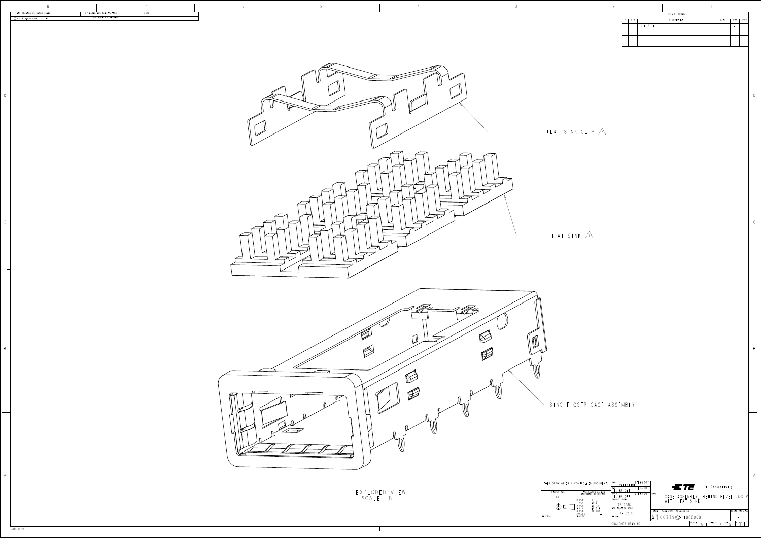DIMENSIONS: mm  $\bigoplus \in \square$ MATERIAL FINISH D

B

|                                 |               |                                           | CUSTOMER DRAWING                 |      |                      |                                    | SCALE | $\sim$ | SHEET | 0F              | $REV \cap$ |               |
|---------------------------------|---------------|-------------------------------------------|----------------------------------|------|----------------------|------------------------------------|-------|--------|-------|-----------------|------------|---------------|
|                                 | FINISH        |                                           | WEIGHT                           |      | $ 00779 C - 1888968$ |                                    |       |        |       |                 |            |               |
|                                 | PLC<br>ANGLES | ±0.0001                                   | $14 - 13218$                     | SIZE | CAGE CODE            | DRAWING NO                         |       |        |       |                 |            | RESTRICTED TO |
|                                 | PLC<br>3 PLC  | $\pm 0.13$<br>±0.013                      | $108 - 2286$<br>APPLICATION SPEC |      |                      |                                    |       |        |       |                 |            |               |
|                                 | 0 PLC<br>PLC  | 士-<br>$\pm 0.5$                           | <b>PRODUCT SPEC</b>              |      |                      | WITH HEAT SINK                     |       |        |       |                 |            |               |
| mm                              |               |                                           | <b>BRIGHT</b>                    |      |                      | CAGE ASSEMBLY, BEHIND BEZEL, QSFP, |       |        |       |                 |            |               |
| NSIONS:                         |               | TOLERANCES UNLESS<br>OTHERWISE SPECIFIED: | BRIGHT<br>9FEB2007<br>APVD       | NAME |                      |                                    |       |        |       |                 |            |               |
|                                 |               |                                           | 9FEB2007<br>CHK                  |      |                      | $\Xi$ <i>TE</i>                    |       |        |       | TE Connectivity |            |               |
| AWING IS A CONTROLLED DOCUMENT. |               |                                           | EB200<br>DWN<br>VALENTINE        |      |                      |                                    |       |        |       |                 |            |               |

|   |            |             | REVISIONS   |      |     |      |
|---|------------|-------------|-------------|------|-----|------|
| P | <b>LTR</b> |             | DESCRIPTION | DATE | DWN | APVD |
|   |            | SEE SHEET I |             |      |     |      |
|   |            |             |             |      |     |      |
|   |            |             |             |      |     |      |
|   |            |             |             |      |     |      |

4805 (3/13)

| THIS DRAWING IS UNPUBLISHED.<br>RELEASED FOR PUBLICATION<br>2008 |                                                                                                                                                                                                | $REVISIONS$                                                                                                                                            |
|------------------------------------------------------------------|------------------------------------------------------------------------------------------------------------------------------------------------------------------------------------------------|--------------------------------------------------------------------------------------------------------------------------------------------------------|
| ALL RIGHTS RESERVED.<br>$\circled{C}$ COPYRIGHT 2008 BY-         |                                                                                                                                                                                                | DESCRIPTION<br>$P$ $LTR$<br>$-$ SEE SHEET I                                                                                                            |
|                                                                  | - UJ                                                                                                                                                                                           |                                                                                                                                                        |
|                                                                  | $-HEAT$ SINK CLIP $\overrightarrow{A}$                                                                                                                                                         |                                                                                                                                                        |
|                                                                  | $\vee$                                                                                                                                                                                         |                                                                                                                                                        |
|                                                                  |                                                                                                                                                                                                |                                                                                                                                                        |
|                                                                  | $-HEAT$ SINK $\triangle$                                                                                                                                                                       |                                                                                                                                                        |
|                                                                  |                                                                                                                                                                                                |                                                                                                                                                        |
|                                                                  | $\sum_{i=1}^{n}$<br>TI<br>$\mathbb{R}$                                                                                                                                                         |                                                                                                                                                        |
|                                                                  | $\overline{\phantom{0}}$<br>$\sum_{i=1}^{n}$<br>$\mathbb{R}$<br>SINGLE QSFP CAGE ASSEMBLY                                                                                                      |                                                                                                                                                        |
|                                                                  | $\sim$                                                                                                                                                                                         |                                                                                                                                                        |
|                                                                  | THIS DRAWING IS A CONTROLLED DOCUMENT.<br>EXPLODED VIEW<br>Scale 8: I<br>DIMENSIONS:                                                                                                           | DWN  <br>C. VALENTINE<br>$.$<br>$\square$ TE $\square$<br>19FEB2007<br><u>E. BRIGHT</u><br>TOLERANCES UNLESS<br>OTHERWISE SPECIFIED:<br>19FEB2007 NAME |
|                                                                  | mm<br>$\begin{array}{rrrr} & 0 & \text{PLC} & & \pm\text{-} \\ & 1 & \text{PLC} & & \pm 0.5 \\ & 2 & \text{PLC} & & \pm 0.13 \\ & 3 & \text{PLC} & & \pm 0.013 \end{array}$<br>$\bigoplus \in$ | APVD<br>E. BRIGHT<br>PRODUCT SPEC<br>CAGE ASSEMBLY, BEHI<br>WITH HEAT SINK<br>108-2286<br>APPLICATION SPEC<br>CASE CODE DRAWING NO                     |

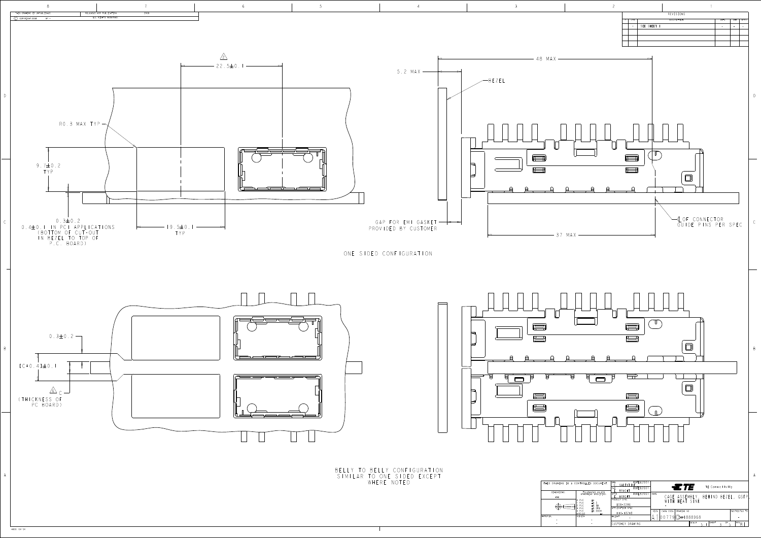4805 (3/13)



CUSTOMER DRAWING

SCALE  $5:1$   $3^{06}$   $5$   $1^{18}$ 

- -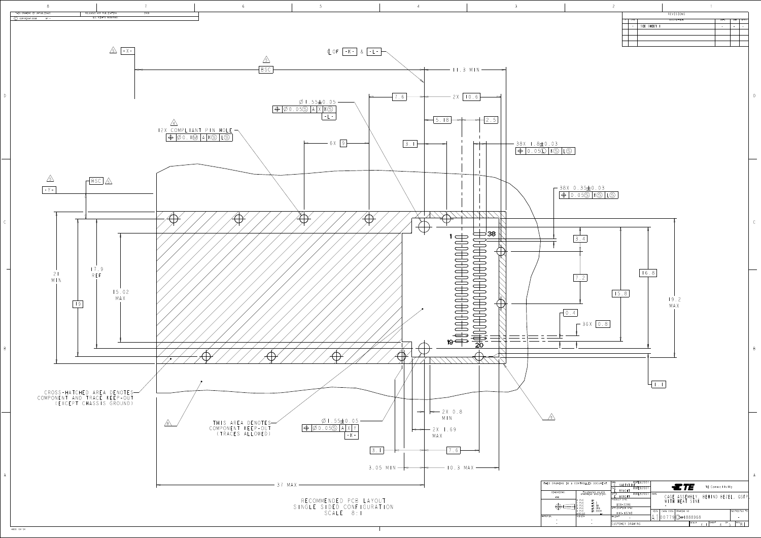D

B



| ٦<br>×<br>I |  |
|-------------|--|
|             |  |

| DESCRIPTION<br>LTR<br>D<br>SEE SHEET I | DATE | DWN | APVD |
|----------------------------------------|------|-----|------|
|                                        |      |     |      |
|                                        |      |     |      |
|                                        |      |     |      |
|                                        |      |     |      |
|                                        |      |     |      |

| CONTROLLED DOCUMENT.                                                                                                  | EB200<br>DWN<br>VALENT<br>$\equiv$ TE<br>TE Connectivity<br>9FEB2007<br>CHK<br>BRIGHT                                                               |
|-----------------------------------------------------------------------------------------------------------------------|-----------------------------------------------------------------------------------------------------------------------------------------------------|
| TOLERANCES UNLESS<br>OTHERWISE SPECIFIED:<br>PLC<br>$\pm$ -<br>$\pm 0.5$<br>PLC<br>$\pm 0.13$<br>PLC<br>±0.013<br>PLC | 9FEB200<br>NAME<br>APVD<br>CAGE ASSEMBLY, BEHIND BEZEL, QSFP<br><b>BRIGHT</b><br>PRODUCT SPEC<br>WITH HEAT SINK<br>$108 - 2286$<br>APPLICATION SPEC |
| ±0.0001<br>PLC<br><b>ANGLES</b><br>FINISH                                                                             | CAGE CODE<br>DRAWING NO<br>RESTRICTED TO<br>SIZE<br>$114 - 13218$<br>$19$ $C = 1888968$<br>WEIGHT                                                   |
|                                                                                                                       | SCALE<br>SHEET<br>OF<br>$REV \cap$<br>CUSTOMER DRAWING<br>4:                                                                                        |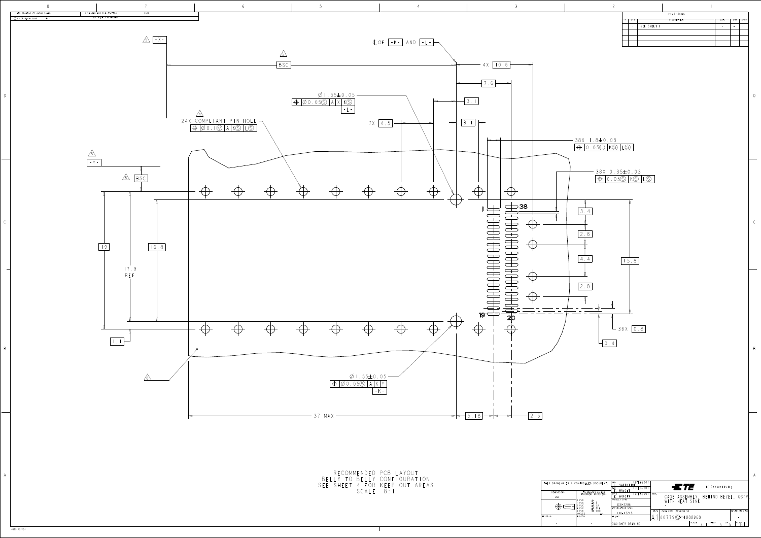THIS DRAWING IS A DIMENSIONS: mm  $\bigoplus \qquad \qquad \bigoplus$ MATERIAL FINISH

| × |  |
|---|--|
|   |  |



D

B

|               | AWING IS A CONTROLLED DOCUMENT.                                                                                  | DWN<br>VALENTINE<br>19FEB2007<br>CHK<br>BRIGHT                                        | ETF<br>TE Connectivity                                                      |
|---------------|------------------------------------------------------------------------------------------------------------------|---------------------------------------------------------------------------------------|-----------------------------------------------------------------------------|
| NSIONS:<br>mm | TOLERANCES UNLESS<br>OTHERWISE SPECIFIED:<br>PLC<br>士"<br>$\pm 0.5$<br>PLC<br>PLC<br>$\pm 0.13$<br>±0.013<br>PLC | 9FEB2007<br>APVD<br><b>BRIGHT</b><br>PRODUCT SPEC<br>$108 - 2286$<br>APPLICATION SPEC | NAME<br>CAGE ASSEMBLY, BEHIND BEZEL, QSFP,<br>TH HEAT SINK                  |
|               | ±0.0001<br>PLC<br>ANGLES<br>FINISH                                                                               | $114 - 13218$<br>WEIGHT                                                               | RESTRICTED TO<br>CAGE CODE<br><b>SIZE</b><br>DRAWING NO<br>$79$ $@=1888968$ |
|               |                                                                                                                  | CUSTOMER DRAWING                                                                      | SHEET<br>$REV \cap$<br>SCALE<br>0F.<br>$4 \cdot$                            |

|   |     |             | REVISIONS   |      |     |      |
|---|-----|-------------|-------------|------|-----|------|
| P | LTR |             | DESCRIPTION | DATE | DWN | APVD |
|   |     | SEE SHEET I |             |      |     |      |
|   |     |             |             |      |     |      |
|   |     |             |             |      |     |      |
|   |     |             |             |      |     |      |
|   |     |             |             |      |     |      |

4805 (3/13)

RECOMMENDED PCB LAYOUT LLY TO BELLY CONFIGURATION . SHEET 4 FOR KEEP OUT ARE SCALE 8:1